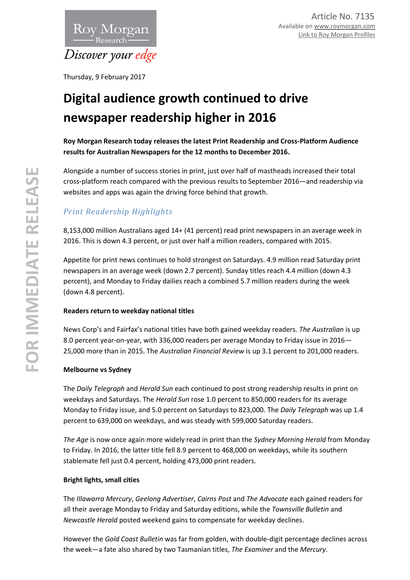

Thursday, 9 February 2017

# **Digital audience growth continued to drive newspaper readership higher in 2016**

**Roy Morgan Research today releases the latest Print Readership and Cross-Platform Audience results for Australian Newspapers for the 12 months to December 2016.**

Alongside a number of success stories in print, just over half of mastheads increased their total cross-platform reach compared with the previous results to September 2016—and readership via websites and apps was again the driving force behind that growth.

# *Print Readership Highlights*

8,153,000 million Australians aged 14+ (41 percent) read print newspapers in an average week in 2016. This is down 4.3 percent, or just over half a million readers, compared with 2015.

Appetite for print news continues to hold strongest on Saturdays. 4.9 million read Saturday print newspapers in an average week (down 2.7 percent). Sunday titles reach 4.4 million (down 4.3 percent), and Monday to Friday dailies reach a combined 5.7 million readers during the week (down 4.8 percent).

# **Readers return to weekday national titles**

News Corp's and Fairfax's national titles have both gained weekday readers. *The Australian* is up 8.0 percent year-on-year, with 336,000 readers per average Monday to Friday issue in 2016— 25,000 more than in 2015. The *Australian Financial Review* is up 3.1 percent to 201,000 readers.

# **Melbourne vs Sydney**

The *Daily Telegraph* and *Herald Sun* each continued to post strong readership results in print on weekdays and Saturdays. The *Herald Sun* rose 1.0 percent to 850,000 readers for its average Monday to Friday issue, and 5.0 percent on Saturdays to 823,000. The *Daily Telegraph* was up 1.4 percent to 639,000 on weekdays, and was steady with 599,000 Saturday readers.

*The Age* is now once again more widely read in print than the *Sydney Morning Herald* from Monday to Friday. In 2016, the latter title fell 8.9 percent to 468,000 on weekdays, while its southern stablemate fell just 0.4 percent, holding 473,000 print readers.

# **Bright lights, small cities**

The *Illawarra Mercury*, *Geelong Advertiser*, *Cairns Post* and *The Advocate* each gained readers for all their average Monday to Friday and Saturday editions, while the *Townsville Bulletin* and *Newcastle Herald* posted weekend gains to compensate for weekday declines.

However the *Gold Coast Bulletin* was far from golden, with double-digit percentage declines across the week—a fate also shared by two Tasmanian titles, *The Examiner* and the *Mercury*.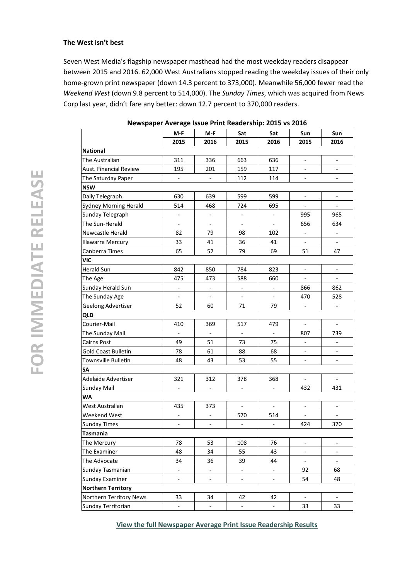#### **The West isn't best**

Seven West Media's flagship newspaper masthead had the most weekday readers disappear between 2015 and 2016. 62,000 West Australians stopped reading the weekday issues of their only home -grown print newspaper (down 14.3 percent to 373,000). Meanwhile 56,000 fewer read the *Weekend West* (down 9.8 percent to 514,000). The *Sunday Times* , which was acquired from News Corp last year, didn't fare any better : down 12.7 percent to 370,000 readers.

|                           | M-F                          | M-F                          | Sat                          | Sat                          | Sun                          | Sun                          |
|---------------------------|------------------------------|------------------------------|------------------------------|------------------------------|------------------------------|------------------------------|
|                           | 2015                         | 2016                         | 2015                         | 2016                         | 2015                         | 2016                         |
| <b>National</b>           |                              |                              |                              |                              |                              |                              |
| The Australian            | 311                          | 336                          | 663                          | 636                          |                              |                              |
| Aust. Financial Review    | 195                          | 201                          | 159                          | 117                          |                              |                              |
| The Saturday Paper        | $\overline{\phantom{m}}$     |                              | 112                          | 114                          | $\qquad \qquad \blacksquare$ | $\overline{\phantom{a}}$     |
| <b>NSW</b>                |                              |                              |                              |                              |                              |                              |
| Daily Telegraph           | 630                          | 639                          | 599                          | 599                          | $\overline{\phantom{a}}$     | $\overline{\phantom{a}}$     |
| Sydney Morning Herald     | 514                          | 468                          | 724                          | 695                          |                              | $\blacksquare$               |
| Sunday Telegraph          | $\qquad \qquad \blacksquare$ | $\frac{1}{2}$                |                              |                              | 995                          | 965                          |
| The Sun-Herald            | ÷                            | ÷,                           |                              |                              | 656                          | 634                          |
| Newcastle Herald          | 82                           | 79                           | 98                           | 102                          | $\overline{\phantom{a}}$     | $\overline{\phantom{a}}$     |
| Illawarra Mercury         | 33                           | 41                           | 36                           | 41                           | $\qquad \qquad \blacksquare$ | $\overline{\phantom{a}}$     |
| Canberra Times            | 65                           | 52                           | 79                           | 69                           | 51                           | 47                           |
| VIC                       |                              |                              |                              |                              |                              |                              |
| Herald Sun                | 842                          | 850                          | 784                          | 823                          |                              |                              |
| The Age                   | 475                          | 473                          | 588                          | 660                          | $\overline{\phantom{0}}$     | $\overline{\phantom{a}}$     |
| Sunday Herald Sun         | -                            | $\qquad \qquad \blacksquare$ | -                            | $\qquad \qquad \blacksquare$ | 866                          | 862                          |
| The Sunday Age            |                              | $\blacksquare$               |                              |                              | 470                          | 528                          |
| Geelong Advertiser        | 52                           | 60                           | 71                           | 79                           | $\overline{\phantom{a}}$     | $\overline{\phantom{a}}$     |
| QLD                       |                              |                              |                              |                              |                              |                              |
| Courier-Mail              | 410                          | 369                          | 517                          | 479                          | $\overline{\phantom{a}}$     | $\overline{\phantom{a}}$     |
| The Sunday Mail           |                              |                              |                              |                              | 807                          | 739                          |
| Cairns Post               | 49                           | 51                           | 73                           | 75                           |                              | $\overline{\phantom{m}}$     |
| Gold Coast Bulletin       | 78                           | 61                           | 88                           | 68                           | $\overline{\phantom{a}}$     | $\overline{\phantom{a}}$     |
| Townsville Bulletin       | 48                           | 43                           | 53                           | 55                           | $\qquad \qquad \blacksquare$ | $\frac{1}{2}$                |
| SΑ                        |                              |                              |                              |                              |                              |                              |
| Adelaide Advertiser       | 321                          | 312                          | 378                          | 368                          | $\blacksquare$               |                              |
| Sunday Mail               |                              |                              |                              |                              | 432                          | 431                          |
| WA                        |                              |                              |                              |                              |                              |                              |
| West Australian           | 435                          | 373                          | $\overline{\phantom{a}}$     | $\overline{\phantom{a}}$     | ÷                            | $\overline{\phantom{a}}$     |
| Weekend West              | $\overline{\phantom{m}}$     | $\overline{\phantom{a}}$     | 570                          | 514                          | $\overline{\phantom{a}}$     | $\overline{\phantom{a}}$     |
| Sunday Times              |                              |                              |                              |                              | 424                          | 370                          |
| <b>Tasmania</b>           |                              |                              |                              |                              |                              |                              |
| The Mercury               | 78                           | 53                           | 108                          | 76                           |                              |                              |
| The Examiner              | 48                           | 34                           | 55                           | 43                           | -                            | ۰                            |
| The Advocate              | 34                           | 36                           | 39                           | 44                           | $\qquad \qquad \blacksquare$ | $\qquad \qquad \blacksquare$ |
| Sunday Tasmanian          |                              |                              |                              |                              | 92                           | 68                           |
| Sunday Examiner           | $\qquad \qquad \blacksquare$ | $\frac{1}{2}$                | $\qquad \qquad \blacksquare$ | $\overline{\phantom{0}}$     | 54                           | 48                           |
| <b>Northern Territory</b> |                              |                              |                              |                              |                              |                              |
| Northern Territory News   | 33                           | 34                           | 42                           | 42                           | ÷                            |                              |
| Sunday Territorian        | ÷                            | $\overline{\phantom{m}}$     | -                            | $\overline{\phantom{a}}$     | 33                           | 33                           |

| Newspaper Average Issue Print Readership: 2015 vs 2016 |  |  |  |
|--------------------------------------------------------|--|--|--|
|--------------------------------------------------------|--|--|--|

**[View the full Newspaper Average Print Issue Readership Results](http://roymorgan.com.au/industries/media/readership/newspaper-readership)**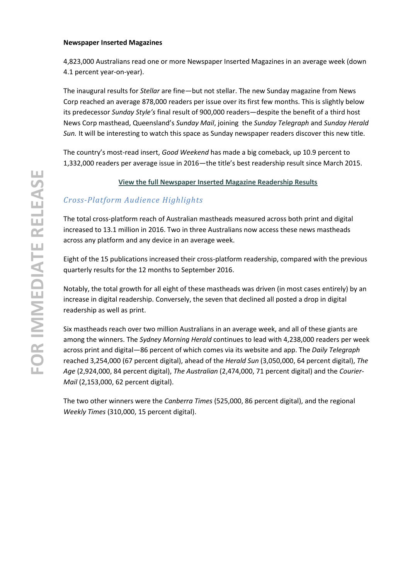#### **Newspaper Inserted Magazines**

4,823,000 Australians read one or more Newspaper Inserted Magazines in an average week (down 4.1 percent year-on-year).

The inaugural results for *Stellar* are fine—but not stellar. The new Sunday magazine from News Corp reached an average 878,000 readers per issue over its first few months. This is slightly below its predecessor *Sunday Style's* final result of 900,000 readers—despite the benefit of a third host News Corp masthead, Queensland's *Sunday Mail*, joining the *Sunday Telegraph* and *Sunday Herald Sun.* It will be interesting to watch this space as Sunday newspaper readers discover this new title.

The country's most-read insert, *Good Weekend* has made a big comeback, up 10.9 percent to 1,332,000 readers per average issue in 2016—the title's best readership result since March 2015.

### **[View the full Newspaper Inserted](http://roymorgan.com.au/industries/media/readership/insert-readership) Magazine Readership Results**

# *Cross-Platform Audience Highlights*

The total cross-platform reach of Australian mastheads measured across both print and digital increased to 13.1 million in 2016. Two in three Australians now access these news mastheads across any platform and any device in an average week.

Eight of the 15 publications increased their cross-platform readership, compared with the previous quarterly results for the 12 months to September 2016.

Notably, the total growth for all eight of these mastheads was driven (in most cases entirely) by an increase in digital readership. Conversely, the seven that declined all posted a drop in digital readership as well as print.

Six mastheads reach over two million Australians in an average week, and all of these giants are among the winners. The *Sydney Morning Herald* continues to lead with 4,238,000 readers per week across print and digital—86 percent of which comes via its website and app. The *Daily Telegraph*  reached 3,254,000 (67 percent digital), ahead of the *Herald Sun* (3,050,000, 64 percent digital), *The Age* (2,924,000, 84 percent digital), *The Australian* (2,474,000, 71 percent digital) and the *Courier-Mail* (2,153,000, 62 percent digital).

The two other winners were the *Canberra Times* (525,000, 86 percent digital), and the regional *Weekly Times* (310,000, 15 percent digital).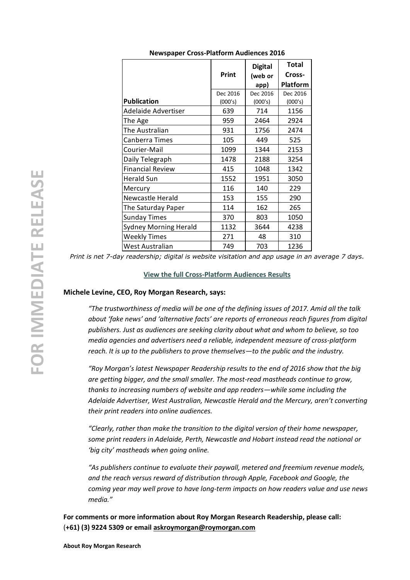|                              | Print    | <b>Digital</b><br>(web or | <b>Total</b><br>Cross-<br><b>Platform</b> |
|------------------------------|----------|---------------------------|-------------------------------------------|
|                              | Dec 2016 | app)<br>Dec 2016          | Dec 2016                                  |
| <b>Publication</b>           | (000's)  | (000's)                   | (000's)                                   |
| Adelaide Advertiser          | 639      | 714                       | 1156                                      |
| The Age                      | 959      | 2464                      | 2924                                      |
| The Australian               | 931      | 1756                      | 2474                                      |
| Canberra Times               | 105      | 449                       | 525                                       |
| Courier-Mail                 | 1099     | 1344                      | 2153                                      |
| Daily Telegraph              | 1478     | 2188                      | 3254                                      |
| <b>Financial Review</b>      | 415      | 1048                      | 1342                                      |
| <b>Herald Sun</b>            | 1552     | 1951                      | 3050                                      |
| Mercury                      | 116      | 140                       | 229                                       |
| Newcastle Herald             | 153      | 155                       | 290                                       |
| The Saturday Paper           | 114      | 162                       | 265                                       |
| <b>Sunday Times</b>          | 370      | 803                       | 1050                                      |
| <b>Sydney Morning Herald</b> | 1132     | 3644                      | 4238                                      |
| <b>Weekly Times</b>          | 271      | 48                        | 310                                       |
| West Australian              | 749      | 703                       | 1236                                      |

**Newspaper Cross -Platform Audiences 2016**

*Print is net 7 -day readership; digital is website visitation and app usage in an average 7 days .*

#### **View the full Cross [-Platform Audiences](http://roymorgan.com.au/industries/media/readership/cross-platform-audiences-newspapers) Results**

#### **Michele Levine, CEO, Roy Morgan Research, says:**

*"The trustworthiness of media will be one of the defining issues of 2017. Amid all the talk about 'fake news' and 'alternative facts' are reports of erroneous reach figures from digital publishers. Just as audiences are seeking clarity about what and whom to believe, so too media agencies and advertisers need a reliable, independent measure of cross -platform reach. It is up to the publishers to prove themselves —to the public and the industry.* 

*"Roy Morgan's latest Newspaper Readership results to the end of 2016 show that the big are getting bigger, and the small smaller. The most -read mastheads continue to grow, thanks to increasing numbers of website and app readers —while some including the Adelaide Advertiser, West Australian, Newcastle Herald and the Mercury, aren't converting their print readers into online audiences.*

*"Clearly, rather than make the transition to the digital version of their home newspaper, some print readers in Adelaide, Perth, Newcastle and Hobart instead read the national or 'big city' mastheads when going online.* 

*"As publishers continue to evaluate their paywall, metered and freemium revenue models, and the reach versus reward of distribution through Apple, Facebook and Google, the coming year may well prove to have long -term impacts on how readers value and use news media."* 

**For comments or more information about Roy Morgan Research Readership, please call :** (**+61) (3) 9224 5309 or emai[l askroymorgan@roymorgan.com](mailto:askroymorgan@roymorgan.com)**